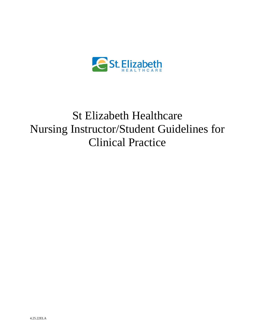

# St Elizabeth Healthcare Nursing Instructor/Student Guidelines for Clinical Practice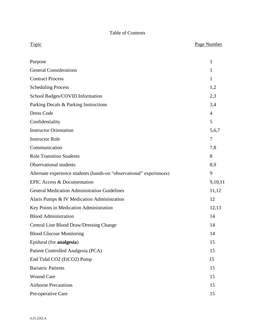## Table of Contents

| <b>Topic</b>                                                         | Page Number    |
|----------------------------------------------------------------------|----------------|
| Purpose                                                              | 1              |
| <b>General Considerations</b>                                        | $\mathbf{1}$   |
| <b>Contract Process</b>                                              | $\mathbf{1}$   |
| <b>Scheduling Process</b>                                            | 1,2            |
| School Badges/COVID Information                                      | 2,3            |
| Parking Decals & Parking Instructions                                | 3,4            |
| <b>Dress Code</b>                                                    | $\overline{4}$ |
| Confidentiality                                                      | 5              |
| <b>Instructor Orientation</b>                                        | 5,6,7          |
| <b>Instructor Role</b>                                               | $\overline{7}$ |
| Communication                                                        | 7,8            |
| <b>Role Transition Students</b>                                      | 8              |
| <b>Observational students</b>                                        | 8,9            |
| Alternate experience students (hands-on "observational" experiences) | 9              |
| <b>EPIC Access &amp; Documentation</b>                               | 9,10,11        |
| <b>General Medication Administration Guidelines</b>                  | 11,12          |
| Alaris Pumps & IV Medication Administration                          | 12             |
| Key Points in Medication Administration                              | 12,13          |
| <b>Blood Administration</b>                                          | 14             |
| Central Line Blood Draw/Dressing Change                              | 14             |
| <b>Blood Glucose Monitoring</b>                                      | 14             |

Epidural (for **analgesia**) 15

Patient Controlled Analgesia (PCA) 15

End Tidal CO2 (EtCO2) Pump 15

Bariatric Patients 15 Wound Care 15 Airborne Precautions 15 Pre-operative Care 15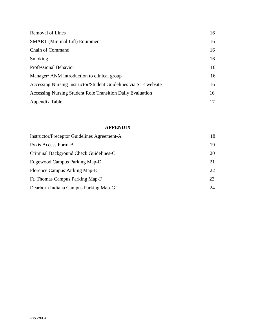| <b>Removal of Lines</b>                                          | 16 |
|------------------------------------------------------------------|----|
| <b>SMART</b> (Minimal Lift) Equipment                            | 16 |
| Chain of Command                                                 | 16 |
| Smoking                                                          | 16 |
| Professional Behavior                                            | 16 |
| Manager/ ANM introduction to clinical group                      | 16 |
| Accessing Nursing Instructor/Student Guidelines via St E website | 16 |
| Accessing Nursing Student Role Transition Daily Evaluation       | 16 |
| Appendix Table                                                   | 17 |

#### **APPENDIX**

| Instructor/Preceptor Guidelines Agreement-A | 18 |
|---------------------------------------------|----|
| Pyxis Access Form-B                         | 19 |
| Criminal Background Check Guidelines-C      | 20 |
| Edgewood Campus Parking Map-D               | 21 |
| Florence Campus Parking Map-E               | 22 |
| Ft. Thomas Campus Parking Map-F             | 23 |
| Dearborn Indiana Campus Parking Map-G       | 24 |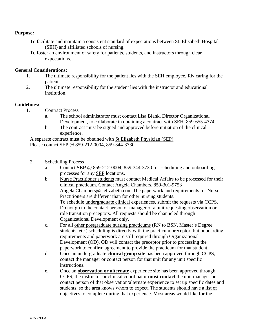#### **Purpose:**

- To facilitate and maintain a consistent standard of expectations between St. Elizabeth Hospital (SEH) and affiliated schools of nursing.
- To foster an environment of safety for patients, students, and instructors through clear expectations.

#### **General Considerations:**

- 1. The ultimate responsibility for the patient lies with the SEH employee, RN caring for the patient.
- 2. The ultimate responsibility for the student lies with the instructor and educational institution.

#### **Guidelines:**

- 1. Contract Process
	- a. The school administrator must contact Lisa Blank, Director Organizational Development, to collaborate in obtaining a contract with SEH. 859-655-4374
	- b. The contract must be signed and approved before initiation of the clinical experience.

A separate contract must be obtained with St Elizabeth Physician (SEP). Please contact SEP @ 859-212-0004, 859-344-3730.

- 2. Scheduling Process
	- a. Contact **SEP** @ 859-212-0004, 859-344-3730 for scheduling and onboarding processes for any SEP locations.
	- b. Nurse Practitioner students must contact Medical Affairs to be processed for their clinical practicum. Contact Angela Chambers, 859-301-9753 Angela.Chambers@stelizabeth.com The paperwork and requirements for Nurse Practitioners are different than for other nursing students. To schedule undergraduate clinical experiences, submit the requests via CCPS. Do not go to the contact person or manager of a unit requesting observation or role transition preceptors. All requests should be channeled through Organizational Development only.
	- c. For all other postgraduate nursing practicums (RN to BSN, Master's Degree students, etc.) scheduling is directly with the practicum preceptor, but onboarding requirements and paperwork are still required through Organizational Development (OD). OD will contact the preceptor prior to processing the paperwork to confirm agreement to provide the practicum for that student.
	- d. Once an undergraduate **clinical group site** has been approved through CCPS, contact the manager or contact person for that unit for any unit specific instructions.
	- e. Once an **observation or alternate** experience site has been approved through CCPS, the instructor or clinical coordinator **must contact** the unit manager or contact person of that observation/alternate experience to set up specific dates and students, so the area knows whom to expect. The students should have a list of objectives to complete during that experience. Most areas would like for the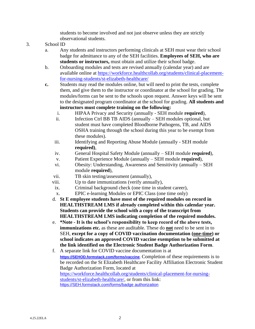students to become involved and not just observe unless they are strictly observational students.

- 3. School ID
	- a. Any students and instructors performing clinicals at SEH must wear their school badge for admittance to any of the SEH facilities. **Employees of SEH, who are students or instructors,** must obtain and utilize their school badge.
	- b. Onboarding modules and tests are revised annually (calendar year) and are available online at [https://workforce.healthcollab.org/students/clinical-placement](https://workforce.healthcollab.org/students/clinical-placement-for-nursing-students/st-elizabeth-healthcare/)[for-nursing-students/st-elizabeth-healthcare/](https://workforce.healthcollab.org/students/clinical-placement-for-nursing-students/st-elizabeth-healthcare/)
	- **c.** Students may read the modules online, but will need to print the tests, complete them, and give them to the instructor or coordinator at the school for grading. The modules/forms can be sent to the schools upon request. Answer keys will be sent to the designated program coordinator at the school for grading. **All students and instructors must complete training on the following:**
		- i. HIPAA Privacy and Security (annually SEH module **required**),
		- ii. Infection Ctrl BB TB AIDS (annually SEH modules optional, but student must have completed Bloodborne Pathogens, TB, and AIDS OSHA training through the school during this year to be exempt from these modules).
		- iii. Identifying and Reporting Abuse Module (annually SEH module **required)**,
		- iv. General Hospital Safety Module (annually SEH module **required**),
		- v. Patient Experience Module (annually SEH module **required**),
		- vi. Obesity: Understanding, Awareness and Sensitivity (annually SEH module **required**),
		- vii. TB skin testing/assessment (annually),
		- viii. Up to date immunizations (verify annually),
		- ix. Criminal background check (one time in student career),
		- x. EPIC e-learning Modules or EPIC Class (one time only)
		- d. **St E employee students have most of the required modules on record in HEALTHSTREAM LMS if already completed within this calendar year. Students can provide the school with a copy of the transcript from HEALTHSTREAM LMS indicating completion of the required modules.**
		- e. **\*Note - It is the school's responsibility to keep record of the above tests, immunizations etc.** as these are auditable. These do **not** need to be sent in to SEH, **except for a copy of COVID vaccination documentation (one-time) or school indicates an approved COVID vaccine exemption to be submitted at the link identified on the Electronic Student Badge Authorization Form**.
		- f. A separate link for COVID vaccine documentation is at **[https://SEHOD.formstack.com/forms/vaccine](https://sehod.formstack.com/forms/vaccine)**. Completion of these requirements is to be recorded on the St Elizabeth Healthcare Facility Affiliation Electronic Student Badge Authorization Form, located at [https://workforce.healthcollab.org/students/clinical-placement-for-nursing](https://workforce.healthcollab.org/students/clinical-placement-for-nursing-students/st-elizabeth-healthcare/)[students/st-elizabeth-healthcare/,](https://workforce.healthcollab.org/students/clinical-placement-for-nursing-students/st-elizabeth-healthcare/) or from this link: [https://SEH.formstack.com/forms/badge](https://seh.formstack.com/forms/badge%20authorization) authorization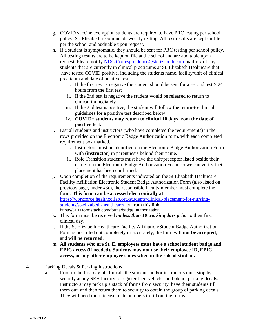- g. COVID vaccine exemption students are required to have PRC testing per school policy. St. Elizabeth recommends weekly testing. All test results are kept on file per the school and auditable upon request.
- h. If a student is symptomatic, they should be sent for PRC testing per school policy. All testing results are to be kept on file at the school and are auditable upon request. Please notify [NDC.Correspondence@stelizabeth.com](mailto:NDC.Correspondence@stelizabeth.com) mailbox of any students that are currently in clinical practicums at St. Elizabeth Healthcare that have tested COVID positive, including the students name, facility/unit of clinical practicum and date of positive test.
	- i. If the first test is negative the student should be sent for a second test  $> 24$ hours from the first test
	- ii. If the 2nd test is negative the student would be released to return to clinical immediately
	- iii. If the 2nd test is positive, the student will follow the return-to-clinical guidelines for a positive test described below
	- iv. **COVID+ students may return to clinical 10 days from the date of positive test.**
- i. List all students and instructors (who have completed the requirements) in the rows provided on the Electronic Badge Authorization form, with each completed requirement box marked.
	- i. Instructors must be identified on the Electronic Badge Authorization Form with **(instructor)** in parenthesis behind their name.
	- ii. Role Transition students must have the unit/preceptor listed beside their names on the Electronic Badge Authorization Form, so we can verify their placement has been confirmed.
- j. Upon completion of the requirements indicated on the St Elizabeth Healthcare Facility Affiliation Electronic Student Badge Authorization Form (also listed on previous page, under #3c), the responsible faculty member must complete the form: **This form can be accessed electronically at** [https://workforce.healthcollab.org/students/clinical-placement-for-nursing](https://workforce.healthcollab.org/students/clinical-placement-for-nursing-students/st-elizabeth-healthcare/)[students/st-elizabeth-healthcare/,](https://workforce.healthcollab.org/students/clinical-placement-for-nursing-students/st-elizabeth-healthcare/) or from this link: [https://SEH.formstack.com/forms/badge\\_authorization](https://seh.formstack.com/forms/badge_authorization)
- k. This form must be received *no less than 10 working days prior* to their first clinical day.
- l. If the St Elizabeth Healthcare Facility Affiliation/Student Badge Authorization Form is not filled out completely or accurately, the form will **not be accepted**, and **will be returned**.
- m. **All students who are St. E. employees must have a school student badge and EPIC access (if needed). Students may not use their employee ID, EPIC access, or any other employee codes when in the role of student.**
- 4. Parking Decals & Parking Instructions
	- a. Prior to the first day of clinicals the students and/or instructors must stop by security at any SEH facility to register their vehicles and obtain parking decals. Instructors may pick up a stack of forms from security, have their students fill them out, and then return them to security to obtain the group of parking decals. They will need their license plate numbers to fill out the forms.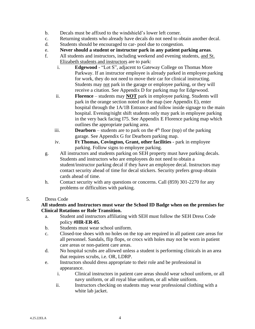- b. Decals must be affixed to the windshield's lower left corner.
- c. Returning students who already have decals do not need to obtain another decal.
- d. Students should be encouraged to car- pool due to congestion.
- e. **Never should a student or instructor park in any patient parking areas**.
- f. All students and instructors, including weekend and evening students, and St. Elizabeth students and instructors are to park:
	- i. **Edgewood** "Lot S", adjacent to Gateway College on Thomas More Parkway. If an instructor employee is already parked in employee parking for work, they do not need to move their car for clinical instructing. Students may not park in the garage or employee parking, or they will receive a citation. See Appendix D for parking map for Edgewood.
	- ii. **Florence** students may **NOT** park in employee parking. Students will park in the orange section noted on the map (see Appendix E), enter hospital through the 1A/1B Entrance and follow inside signage to the main hospital. Evening/night shift students only may park in employee parking in the very back facing I75. See Appendix E Florence parking map which outlines the appropriate parking area.
	- iii. **Dearborn** students are to park on the  $4<sup>th</sup>$  floor (top) of the parking garage. See Appendix G for Dearborn parking map.
	- iv. **Ft Thomas, Covington, Grant, other facilities** park in employee parking. Follow signs to employee parking.
- g. All instructors and students parking on SEH property must have parking decals. Students and instructors who are employees do not need to obtain a student/instructor parking decal if they have an employee decal. Instructors may contact security ahead of time for decal stickers. Security prefers group obtain cards ahead of time.
- h. Contact security with any questions or concerns. Call (859) 301-2270 for any problems or difficulties with parking.

#### 5. Dress Code

#### **All students and Instructors must wear the School ID Badge when on the premises for Clinical Rotations or Role Transition.**

- a. Student and instructors affiliating with SEH must follow the SEH Dress Code policy **#HR-ER-05**.
- b. Students must wear school uniform.
- c. Closed-toe shoes with no holes on the top are required in all patient care areas for all personnel. Sandals, flip flops, or crocs with holes may not be worn in patient care areas or non-patient care areas.
- d. No hospital scrubs are allowed unless a student is performing clinicals in an area that requires scrubs, i.e. OR, LDRP.
- e. Instructors should dress appropriate to their role and be professional in appearance.
	- i. Clinical instructors in patient care areas should wear school uniform, or all navy uniform, or all royal blue uniform, or all white uniform.
	- ii. Instructors checking on students may wear professional clothing with a white lab jacket.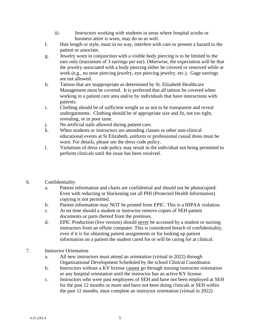- iii. Instructors working with students in areas where hospital scrubs or business attire is worn, may do so as well.
- f. Hair length or style, must in no way, interfere with care or present a hazard to the patient or associate.
- g. Jewelry worn in conjunction with a visible body piercing is to be limited to the ears only (maximum of 3 earrings per ear). Otherwise, the expectation will be that the jewelry associated with a body piercing either be covered or removed while at work (e.g., no nose piercing jewelry, eye piercing jewelry, etc.). Gage earrings are not allowed.
- h. Tattoos that are inappropriate as determined by St. Elizabeth Healthcare Management must be covered. It is preferred that all tattoos be covered when working in a patient care area and/or by individuals that have interactions with patients.
- i. Clothing should be of sufficient weight so as not to be transparent and reveal undergarments. Clothing should be of appropriate size and fit, not too tight, revealing, or in poor taste.
- j. No artificial nails allowed during patient care.
- k. When students or instructors are attending classes or other non-clinical educational events at St Elizabeth, uniform or professional casual dress must be worn. For details, please see the dress code policy.
- l. Violations of dress code policy may result in the individual not being permitted to perform clinicals until the issue has been resolved.
- 6. Confidentiality
	- a. Patient information and charts are confidential and should not be photocopied. Even with redacting or blackening out all PHI (Protected Health Information) copying is not permitted.
	- b. Patient information may NOT be printed from EPIC. This is a HIPAA violation.
	- c. At no time should a student or instructor remove copies of SEH patient documents or parts thereof from the premises.
	- d. EPIC Production (live version) should never be accessed by a student or nursing instructors from an offsite computer. This is considered breach of confidentiality, even if it is for obtaining patient assignments or for looking up patient information on a patient the student cared for or will be caring for at clinical.
- 7. Instructor Orientation
	- a. All new instructors must attend an orientation (virtual in 2022) through Organizational Development Scheduled by the school Clinical Coordinator.
	- b. Instructors without a KY license cannot go through nursing instructor orientation or any hospital orientation until the instructor has an active KY license.
	- c. Instructors who were past employees of SEH and have not been employed at SEH for the past 12 months or more and have not been doing clinicals at SEH within the past 12 months, must complete an instructor orientation (virtual in 2022)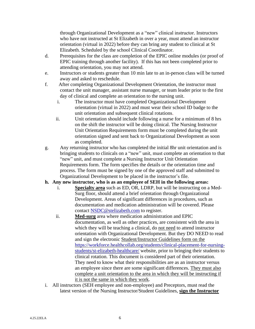through Organizational Development as a "new" clinical instructor. Instructors who have not instructed at St Elizabeth in over a year, must attend an instructor orientation (virtual in 2022) before they can bring any student to clinical at St Elizabeth. Scheduled by the school Clinical Coordinator.

- d. Prerequisites for the class are completion of the EPIC online modules (or proof of EPIC training through another facility). If this has not been completed prior to attending orientation, you may not attend.
- e. Instructors or students greater than 10 min late to an in-person class will be turned away and asked to reschedule.
- f. After completing Organizational Development Orientation, the instructor must contact the unit manager, assistant nurse manager, or team leader prior to the first day of clinical and complete an orientation to the nursing unit.
	- i. The instructor must have completed Organizational Development orientation (virtual in 2022) and must wear their school ID badge to the unit orientation and subsequent clinical rotations.
	- ii. Unit orientation should include following a nurse for a minimum of 8 hrs on the shift the instructor will be doing clinical. The Nursing Instructor Unit Orientation Requirements form must be completed during the unit orientation signed and sent back to Organizational Development as soon as completed.
- g. Any returning instructor who has completed the initial 8hr unit orientation and is bringing students to clinicals on a "new" unit, must complete an orientation to that "new" unit, and must complete a Nursing Instructor Unit Orientation Requirements form. The form specifies the details or the orientation time and process. The form must be signed by one of the approved staff and submitted to Organizational Development to be placed in the instructor's file.
- **h. Any new instructor, who is as an employee of SEH in the following areas:**
	- i. **Specialty area** such as ED, OR, LDRP, but will be instructing on a Med-Surg floor, should attend a brief orientation through Organizational Development. Areas of significant differences in procedures, such as documentation and medication administration will be covered. Please contact [NSDC@stelizabeth.com](mailto:NSDC@stelizabeth.com) to register.
	- ii. **Med-surg** area where medication administration and EPIC documentation, as well as other practices, are consistent with the area in which they will be teaching a clinical, do not need to attend instructor orientation with Organizational Development. But they DO NEED to read and sign the electronic Student/Instructor Guidelines form on the [https://workforce.healthcollab.org/students/clinical-placement-for-nursing](https://workforce.healthcollab.org/students/clinical-placement-for-nursing-students/st-elizabeth-healthcare/)[students/st-elizabeth-healthcare/](https://workforce.healthcollab.org/students/clinical-placement-for-nursing-students/st-elizabeth-healthcare/) website, prior to bringing their students to clinical rotation. This document is considered part of their orientation. They need to know what their responsibilities are as an instructor versus an employee since there are some significant differences. They must also complete a unit orientation to the area in which they will be instructing if it is not the same in which they work.
- i. All instructors (SEH employee and non-employee) and Preceptors, must read the latest version of the Nursing Instructor/Student Guidelines, **sign the Instructor**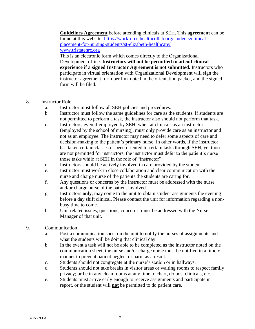**Guidelines Agreement** before attending clinicals at SEH. This **agreement** can be found at this website: [https://workforce.healthcollab.org/students/clinical](https://workforce.healthcollab.org/students/clinical-placement-for-nursing-students/st-elizabeth-healthcare/)[placement-for-nursing-students/st-elizabeth-healthcare/](https://workforce.healthcollab.org/students/clinical-placement-for-nursing-students/st-elizabeth-healthcare/) [www.tristatenrc.org](http://www.tristatenrc.org/)

This is an electronic form which comes directly to the Organizational Development office. **Instructors will not be permitted to attend clinical experience if a signed Instructor Agreement is not submitted.** Instructors who participate in virtual orientation with Organizational Development will sign the instructor agreement form per link noted in the orientation packet, and the signed form will be filed.

- 8. Instructor Role
	- a. Instructor must follow all SEH policies and procedures.
	- b. Instructor must follow the same guidelines for care as the students. If students are not permitted to perform a task, the instructor also should not perform that task.
	- c. Instructors, even if employed by SEH, when at clinicals as an instructor (employed by the school of nursing), must only provide care as an instructor and not as an employee. The instructor may need to defer some aspects of care and decision-making to the patient's primary nurse. In other words, if the instructor has taken certain classes or been oriented to certain tasks through SEH, yet those are not permitted for instructors, the instructor must defer to the patient's nurse those tasks while at SEH in the role of "instructor".
	- d. Instructors should be actively involved in care provided by the student.
	- e. Instructor must work in close collaboration and clear communication with the nurse and charge nurse of the patients the students are caring for.
	- f. Any questions or concerns by the instructor must be addressed with the nurse and/or charge nurse of the patient involved.
	- g. Instructors **only**, may come to the unit to obtain student assignments the evening before a day shift clinical. Please contact the unit for information regarding a nonbusy time to come.
	- h. Unit related issues, questions, concerns, must be addressed with the Nurse Manager of that unit.
- 9. Communication
	- a. Post a communication sheet on the unit to notify the nurses of assignments and what the students will be doing that clinical day.
	- b. In the event a task will not be able to be completed as the instructor noted on the communication sheet, the nurse and/or charge nurse must be notified in a timely manner to prevent patient neglect or harm as a result.
	- c. Students should not congregate at the nurse's station or in hallways.
	- d. Students should not take breaks in visitor areas or waiting rooms to respect family privacy; or be in any clean rooms at any time to chart, do post clinicals, etc.
	- e. Students must arrive early enough to receive assignments and participate in report, or the student will **not** be permitted to do patient care.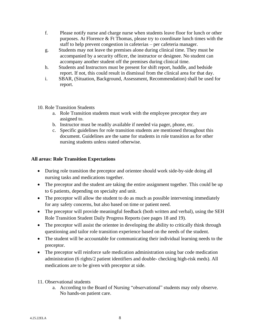- f. Please notify nurse and charge nurse when students leave floor for lunch or other purposes. At Florence & Ft Thomas, please try to coordinate lunch times with the staff to help prevent congestion in cafeterias – per cafeteria manager.
- g. Students may not leave the premises alone during clinical time. They must be accompanied by a security officer, the instructor or designee. No student can accompany another student off the premises during clinical time.
- h. Students and Instructors must be present for shift report, huddle, and bedside report. If not, this could result in dismissal from the clinical area for that day.
- i. SBAR, (Situation, Background, Assessment, Recommendation) shall be used for report.
- 10. Role Transition Students
	- a. Role Transition students must work with the employee preceptor they are assigned to.
	- b. Instructor must be readily available if needed via pager, phone, etc.
	- c. Specific guidelines for role transition students are mentioned throughout this document. Guidelines are the same for students in role transition as for other nursing students unless stated otherwise.

#### **All areas: Role Transition Expectations**

- During role transition the preceptor and orientee should work side-by-side doing all nursing tasks and medications together.
- The preceptor and the student are taking the entire assignment together. This could be up to 6 patients, depending on specialty and unit.
- The preceptor will allow the student to do as much as possible intervening immediately for any safety concerns, but also based on time or patient need.
- The preceptor will provide meaningful feedback (both written and verbal), using the SEH Role Transition Student Daily Progress Reports (see pages 18 and 19).
- The preceptor will assist the orientee in developing the ability to critically think through questioning and tailor role transition experience based on the needs of the student.
- The student will be accountable for communicating their individual learning needs to the preceptor.
- The preceptor will reinforce safe medication administration using bar code medication administration (6 rights/2 patient identifiers and double- checking high-risk meds). All medications are to be given with preceptor at side.
- 11. Observational students
	- a. According to the Board of Nursing "observational" students may only observe. No hands-on patient care.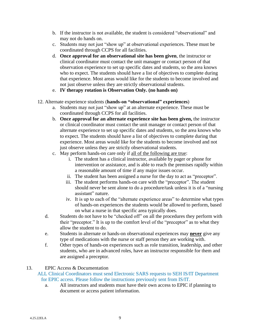- b. If the instructor is not available, the student is considered "observational" and may not do hands on.
- c. Students may not just "show up" at observational experiences. These must be coordinated through CCPS for all facilities.
- d. **Once approval for an observational site has been given**, the instructor or clinical coordinator must contact the unit manager or contact person of that observation experience to set up specific dates and students, so the area knows who to expect. The students should have a list of objectives to complete during that experience. Most areas would like for the students to become involved and not just observe unless they are strictly observational students.
- e. **IV therapy rotation is Observation Only. (no hands on)**
- 12. Alternate experience students (**hands-on "observational" experiences**)
	- a. Students may not just "show up" at an alternate experience. These must be coordinated through CCPS for all facilities.
	- b. **Once approval for an alternate experience site has been given,** the instructor or clinical coordinator must contact the unit manager or contact person of that alternate experience to set up specific dates and students, so the area knows who to expect. The students should have a list of objectives to complete during that experience. Most areas would like for the students to become involved and not just observe unless they are strictly observational students.
	- c. May perform hands-on care only if all of the following are true:
		- i. The student has a clinical instructor, available by pager or phone for intervention or assistance, and is able to reach the premises rapidly within a reasonable amount of time if any major issues occur.
		- ii. The student has been assigned a nurse for the day to act as "preceptor".
		- iii. The student performs hands-on care with the "preceptor". The student should never be sent alone to do a procedure/task unless it is of a "nursing assistant" nature.
		- iv. It is up to each of the "alternate experience areas" to determine what types of hands-on experiences the students would be allowed to perform, based on what a nurse in that specific area typically does.
	- d. Students do not have to be "checked off" on all the procedures they perform with their "preceptor." It is up to the comfort level of the "preceptor" as to what they allow the student to do.
	- e. Students in alternate or hands-on observational experiences may **never** give any type of medications with the nurse or staff person they are working with.
	- f. Other types of hands-on experiences such as role transition, leadership, and other students, who are in advanced roles, have an instructor responsible for them and are assigned a preceptor.

#### 13. EPIC Access & Documentation

#### ALL Clinical Coordinators must send Electronic SARS requests to SEH IS/IT Department for EPIC access. Please follow the instructions previously sent from IS/IT.

a. All instructors and students must have their own access to EPIC if planning to document or access patient information.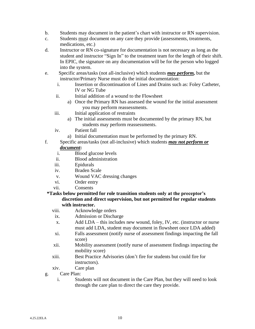- b. Students may document in the patient's chart with instructor or RN supervision.
- c. Students must document on any care they provide (assessments, treatments, medications, etc.)
- d. Instructor or RN co-signature for documentation is not necessary as long as the student and instructor "Sign In" to the treatment team for the length of their shift. In EPIC, the signature on any documentation will be for the person who logged into the system.
- e. Specific areas/tasks (not all-inclusive) which students *may perform,* but the instructor/Primary Nurse must do the initial documentation:
	- i. Insertion or discontinuation of Lines and Drains such as: Foley Catheter, IV or NG Tube
	- ii. Initial addition of a wound to the Flowsheet
		- a) Once the Primary RN has assessed the wound for the initial assessment you may perform reassessments.
	- iii. Initial application of restraints
		- a) The initial assessments must be documented by the primary RN, but students may perform reassessments.
	- iv. Patient fall
		- a) Initial documentation must be performed by the primary RN.
- f. Specific areas/tasks (not all-inclusive) which students *may not perform or document***:**
	- i. Blood glucose levels
	- ii. Blood administration
	- iii. Epidurals
	- iv. Braden Scale
	- v. Wound VAC dressing changes
	- vi. Order entry
	- vii. Consents
- **\*Tasks below permitted for role transition students only at the preceptor's discretion and direct supervision, but not permitted for regular students with instructor.**
	- viii. Acknowledge orders
	- ix. Admission or Discharge
	- x. Add LDA this includes new wound, foley, IV, etc. (instructor or nurse must add LDA, student may document in flowsheet once LDA added)
	- xi. Falls assessment (notify nurse of assessment findings impacting the fall score)
	- xii. Mobility assessment (notify nurse of assessment findings impacting the mobility score)
	- xiii. Best Practice Advisories (don't fire for students but could fire for instructors).
	- xiv. Care plan
- g. Care Plan:
	- i. Students will not document in the Care Plan, but they will need to look through the care plan to direct the care they provide.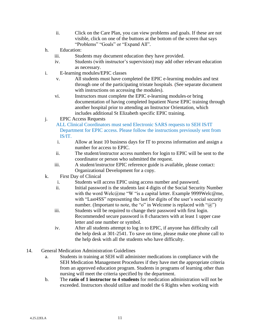- ii. Click on the Care Plan, you can view problems and goals. If these are not visible, click on one of the buttons at the bottom of the screen that says "Problems" "Goals" or "Expand All".
- h. Education:
	- iii. Students may document education they have provided.
	- iv. Students (with instructor's supervision) may add other relevant education as necessary.
- i. E-learning modules/EPIC classes
	- v. All students must have completed the EPIC e-learning modules and test through one of the participating tristate hospitals. (See separate document with instructions on accessing the modules).
	- vi. Instructors must complete the EPIC e-learning modules or bring documentation of having completed Inpatient Nurse EPIC training through another hospital prior to attending an Instructor Orientation, which includes additional St Elizabeth specific EPIC training.
- j. EPIC Access Requests

 ALL Clinical Coordinators must send Electronic SARS requests to SEH IS/IT Department for EPIC access. Please follow the instructions previously sent from IS/IT.

- i. Allow at least 10 business days for IT to process information and assign a number for access to EPIC.
- ii. The student/instructor access numbers for login to EPIC will be sent to the coordinator or person who submitted the request.
- iii. A student/instructor EPIC reference guide is available, please contact: Organizational Development for a copy.
- k. First Day of Clinical
	- i. Students will access EPIC using access number and password.
	- ii. Initial password is the students last 4 digits of the Social Security Number with the word Welc@me "W "is a capital letter. Example 9999Welc@me, with "Last4SS" representing the last for digits of the user's social security number. (Important to note, the "o" in Welcome is replaced with " $(\hat{\omega})$ ")
	- iii. Students will be required to change their password with first login. Recommended secure password is 8 characters with at least 1 upper case letter and one number or symbol.
	- iv. After all students attempt to log in to EPIC, if anyone has difficulty call the help desk at 301-2541. To save on time, please make one phone call to the help desk with all the students who have difficulty.
- 14. General Medication Administration Guidelines
	- a. Students in training at SEH will administer medications in compliance with the SEH Medication Management Procedures if they have met the appropriate criteria from an approved education program. Students in programs of learning other than nursing will meet the criteria specified by the department.
	- b. The **ratio of 1 instructor to 4 students** for medication administration will not be exceeded. Instructors should utilize and model the 6 Rights when working with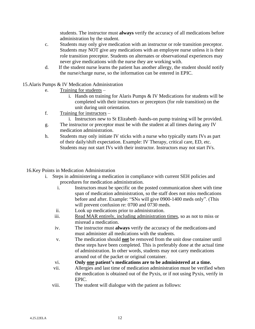students. The instructor must **always** verify the accuracy of all medications before administration by the student.

- c. Students may only give medication with an instructor or role transition preceptor. Students may NOT give any medications with an employee nurse unless it is their role transition preceptor. Students on alternates or observational experiences may never give medications with the nurse they are working with.
- d. If the student nurse learns the patient has another allergy, the student should notify the nurse/charge nurse, so the information can be entered in EPIC.
- 15.Alaris Pumps & IV Medication Administration
	- e. Training for students
		- i. Hands on training for Alaris Pumps & IV Medications for students will be completed with their instructors or preceptors (for role transition) on the unit during unit orientation.
	- f. Training for instructors
		- i. Instructors new to St Elizabeth -hands-on pump training will be provided.
	- g. The instructor or preceptor must be with the student at all times during any IV medication administration.
	- h. Students may only initiate IV sticks with a nurse who typically starts IVs as part of their daily/shift expectation. Example: IV Therapy, critical care, ED, etc. Students may not start IVs with their instructor. Instructors may not start IVs.

#### 16.Key Points in Medication Administration

- i. Steps in administering a medication in compliance with current SEH policies and procedures for medication administration.
	- i. Instructors must be specific on the posted communication sheet with time span of medication administration, so the staff does not miss medications before and after. Example: "SNs will give 0900-1400 meds only". (This will prevent confusion re: 0700 and 0730 meds.
	- ii. Look up medications prior to administration.
	- iii. Read MAR entirely, including administration times, so as not to miss or misread a medication.
	- iv. The instructor must **always** verify the accuracy of the medications and must administer all medications with the students.
	- v. The medication should **not** be removed from the unit dose container until these steps have been completed. This is preferably done at the actual time of administration. In other words, students may not carry medications around out of the packet or original container.
	- vi. **Only one patient's medications are to be administered at a time.**
	- vii. Allergies and last time of medication administration must be verified when the medication is obtained out of the Pyxis, or if not using Pyxis, verify in EPIC.
	- viii. The student will dialogue with the patient as follows: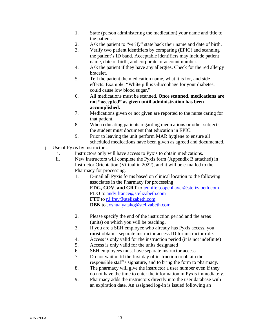- 1. State (person administering the medication) your name and title to the patient.
- 2. Ask the patient to "verify" state back their name and date of birth.
- 3. Verify two patient identifiers by comparing (EPIC) and scanning the patient's ID band. Acceptable identifiers may include patient name, date of birth, and corporate or account number.
- 4. Ask the patient if they have any allergies. Check for the red allergy bracelet.
- 5. Tell the patient the medication name, what it is for, and side effects. Example: "White pill is Glucophage for your diabetes, could cause low blood sugar."
- 6. All medications must be scanned. **Once scanned, medications are not "accepted" as given until administration has been accomplished.**
- 7. Medications given or not given are reported to the nurse caring for that patient.
- 8. When educating patients regarding medications or other subjects, the student must document that education in EPIC.
- 9. Prior to leaving the unit perform MAR hygiene to ensure all scheduled medications have been given as agreed and documented.
- j. Use of Pyxis by instructors.
	- i. Instructors only will have access to Pyxis to obtain medications.
	- ii. New Instructors will complete the Pyxis form (Appendix B attached) in Instructor Orientation (Virtual in 2022), and it will be e-mailed to the Pharmacy for processing.
		- 1. E-mail all Pyxis forms based on clinical location to the following associates in the Pharmacy for processing: **EDG, COV, and GRT** to [jennifer.copenhaver@stelizabeth.com](mailto:jennifer.copenhaver@stelizabeth.com) **FLO** to [andy.france@stelizabeth.com](mailto:andy.france@stelizabeth.com) **FTT** to [r.j.frey@stelizabeth.com](mailto:r.j.frey@stelizabeth.com) **DBN** to [Joshua.yatsko@stelizabeth.com](mailto:Joshua.yatsko@stelizabeth.com)
		- 2. Please specify the end of the instruction period and the areas (units) on which you will be teaching.
		- 3. If you are a SEH employee who already has Pyxis access, you **must** obtain a separate instructor access ID for instructor role.
		- 4. Access is only valid for the instruction period (it is not indefinite)
		- 5. Access is only valid for the units designated
		- 6. SEH employees must have separate instructor access
		- 7. Do not wait until the first day of instruction to obtain the responsible staff's signature, and to bring the form to pharmacy.
		- 8. The pharmacy will give the instructor a user number even if they do not have the time to enter the information in Pyxis immediately.
		- 9. Pharmacy adds the instructors directly into the user database with an expiration date. An assigned log-in is issued following an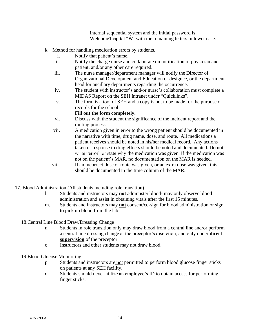internal sequential system and the initial password is Welcome1capital "W' with the remaining letters in lower case.

- k. Method for handling medication errors by students.
	- i. Notify that patient's nurse.
	- ii. Notify the charge nurse and collaborate on notification of physician and patient, and/or any other care required.
	- iii. The nurse manager/department manager will notify the Director of Organizational Development and Education or designee, or the department head for ancillary departments regarding the occurrence.
	- iv. The student with instructor's and/or nurse's collaboration must complete a MIDAS Report on the SEH Intranet under "Quicklinks".
	- v. The form is a tool of SEH and a copy is not to be made for the purpose of records for the school.

#### **Fill out the form completely.**

- vi. Discuss with the student the significance of the incident report and the routing process.
- vii. A medication given in error to the wrong patient should be documented in the narrative with time, drug name, dose, and route. All medications a patient receives should be noted in his/her medical record. Any actions taken or response to drug effects should be noted and documented. Do not write "error" or state why the medication was given. If the medication was not on the patient's MAR, no documentation on the MAR is needed.
- viii. If an incorrect dose or route was given, or an extra dose was given, this should be documented in the time column of the MAR.
- 17. Blood Administration (All students including role transition)
	- l. Students and instructors may **not** administer blood- may only observe blood administration and assist in obtaining vitals after the first 15 minutes.
	- m. Students and instructors may **not** consent/co-sign for blood administration or sign to pick up blood from the lab.

#### 18.Central Line Blood Draw/Dressing Change

- n. Students in role transition only may draw blood from a central line and/or perform a central line dressing change at the preceptor's discretion, and only under **direct supervision** of the preceptor.
- o. Instructors and other students may not draw blood.
- 19.Blood Glucose Monitoring
	- p. Students and instructors are not permitted to perform blood glucose finger sticks on patients at any SEH facility.
	- q. Students should never utilize an employee's ID to obtain access for performing finger sticks.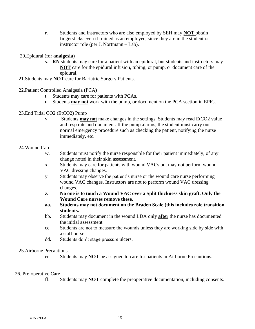r. Students and instructors who are also employed by SEH may **NOT** obtain fingersticks even if trained as an employee, since they are in the student or instructor role (per J. Nortmann – Lab).

#### 20.Epidural (for **analgesia**)

- s. **RN** students may care for a patient with an epidural, but students and instructors may **NOT** care for the epidural infusion, tubing, or pump, or document care of the epidural.
- 21.Students may **NOT** care for Bariatric Surgery Patients.
- 22.Patient Controlled Analgesia (PCA)
	- t. Students may care for patients with PCAs.
	- u. Students **may not** work with the pump, or document on the PCA section in EPIC.
- 23.End Tidal CO2 (EtCO2) Pump
	- v. Students **may not** make changes in the settings. Students may read EtCO2 value and resp rate and document. If the pump alarms, the student must carry out normal emergency procedure such as checking the patient, notifying the nurse immediately, etc.

#### 24.Wound Care

- w. Students must notify the nurse responsible for their patient immediately, of any change noted in their skin assessment.
- x. Students may care for patients with wound VACs but may not perform wound VAC dressing changes.
- y. Students may observe the patient's nurse or the wound care nurse performing wound VAC changes. Instructors are not to perform wound VAC dressing changes.
- **z. No one is to touch a Wound VAC over a Split thickness skin graft. Only the Wound Care nurses remove these.**
- **aa. Students may not document on the Braden Scale (this includes role transition students.**
- bb. Students may document in the wound LDA only **after** the nurse has documented the initial assessment.
- cc. Students are not to measure the wounds unless they are working side by side with a staff nurse.
- dd. Students don't stage pressure ulcers.

#### 25.Airborne Precautions

ee. Students may **NOT** be assigned to care for patients in Airborne Precautions.

#### 26. Pre-operative Care

ff. Students may **NOT** complete the preoperative documentation, including consents.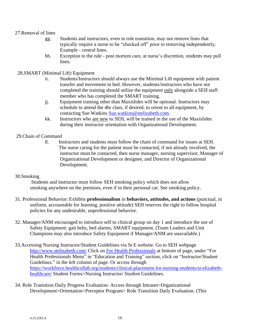#### 27.Removal of lines

- gg. Students and instructors, even in role transition, may not remove lines that typically require a nurse to be "checked off" prior to removing independently. Example - central lines.
- hh. Exception to the rule post mortem care, at nurse's discretion, students may pull lines.

#### 28.SMART (Minimal Lift) Equipment

- ii. Students/Instructors should always use the Minimal Lift equipment with patient transfer and movement in bed. However, students/instructors who have not completed the training should utilize the equipment only alongside a SEH staff member who has completed the SMART training.
- jj. Equipment training other than Maxislides will be optional. Instructors may schedule to attend the 4hr class, if desired, to orient to all equipment, by contacting Sue Watkins [Sue.watkins@stelizabeth.com.](mailto:Sue.watkins@stelizabeth.com)
- kk. Instructors who are new to SEH, will be trained in the use of the Maxislides during their instructor orientation with Organizational Development.

#### 29.Chain of Command

ll. Instructors and students must follow the chain of command for issues at SEH. The nurse caring for the patient must be contacted, if not already involved, the instructor must be contacted, then nurse manager, nursing supervisor, Manager of Organizational Development or designee, and Director of Organizational Development.

#### 30.Smoking

 Students and instructor must follow SEH smoking policy which does not allow smoking anywhere on the premises, even if in their personal car. See smoking policy.

- 31. Professional Behavior: Exhibits **professionalism** in **behaviors, attitudes, and actions** (punctual, in uniform, accountable for learning, positive attitude) SEH reserves the right to follow hospital policies for any undesirable, unprofessional behavior.
- 32. Manager/ANM encouraged to introduce self to clinical group on day 1 and introduce the use of Safety Equipment: gait belts, bed alarms, SMART equipment. (Team Leaders and Unit Champions may also introduce Safety Equipment if Manager/ANM are unavailable.)
- 33.Accessing Nursing Instructor/Student Guidelines via St E website. Go to SEH webpage <http://www.stelizabeth.com/> Click on [For Health Professionals](http://www.stelizabeth.com/professionals/) at bottom of page, under "For Health Professionals Menu" in "Education and Training" section, click on "Instructor/Student Guidelines." in the left column of page. Or access through [https://workforce.healthcollab.org/students/clinical-placement-for-nursing-students/st-elizabeth](https://workforce.healthcollab.org/students/clinical-placement-for-nursing-students/st-elizabeth-healthcare/)[healthcare/](https://workforce.healthcollab.org/students/clinical-placement-for-nursing-students/st-elizabeth-healthcare/) Student Forms>Nursing Instructor/ Student Guidelines.
- 34. Role Transition Daily Progress Evaluation- Access through Intranet>Organizational Development>Orientation>Preceptor Program> Role Transition Daily Evaluation. (This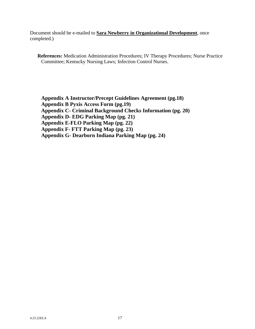Document should be e-mailed to **Sara Newberry in Organizational Development**, once completed.)

**References:** Medication Administration Procedures; IV Therapy Procedures; Nurse Practice Committee; Kentucky Nursing Laws; Infection Control Nurses.

**Appendix A Instructor/Precept Guidelines Agreement (pg.18) Appendix B Pyxis Access Form (pg.19) Appendix C- Criminal Background Checks Information (pg. 20) Appendix D- EDG Parking Map (pg. 21) Appendix E-FLO Parking Map (pg. 22) Appendix F- FTT Parking Map (pg. 23) Appendix G- Dearborn Indiana Parking Map (pg. 24)**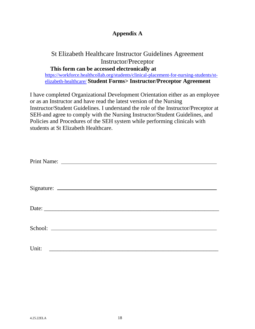## **Appendix A**

## St Elizabeth Healthcare Instructor Guidelines Agreement Instructor/Preceptor **This form can be accessed electronically at** [https://workforce.healthcollab.org/students/clinical-placement-for-nursing-students/st](https://workforce.healthcollab.org/students/clinical-placement-for-nursing-students/st-elizabeth-healthcare/)[elizabeth-healthcare/](https://workforce.healthcollab.org/students/clinical-placement-for-nursing-students/st-elizabeth-healthcare/) **Student Forms> Instructor/Preceptor Agreement**

I have completed Organizational Development Orientation either as an employee or as an Instructor and have read the latest version of the Nursing Instructor/Student Guidelines. I understand the role of the Instructor/Preceptor at SEH-and agree to comply with the Nursing Instructor/Student Guidelines, and Policies and Procedures of the SEH system while performing clinicals with students at St Elizabeth Healthcare.

| Unit:<br><u> 1980 - Johann Barn, mars ann an t-Amhain ann an t-Amhain an t-Amhain an t-Amhain an t-Amhain an t-Amhain an t-</u> |  |  |
|---------------------------------------------------------------------------------------------------------------------------------|--|--|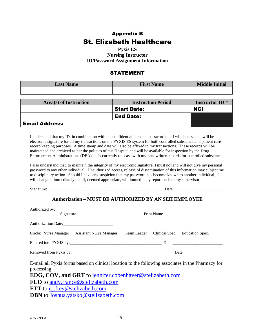# Appendix B St. Elizabeth Healthcare

**Pyxis ES Nursing Instructor ID/Password Assignment Information**

#### STATEMENT

| <b>Last Name</b>       | <b>First Name</b>         | <b>Middle Initial</b> |
|------------------------|---------------------------|-----------------------|
|                        |                           |                       |
|                        |                           |                       |
| Area(s) of Instruction | <b>Instruction Period</b> | <b>Instructor ID#</b> |
|                        | <b>Start Date:</b>        | <b>NCI</b>            |
|                        | <b>End Date:</b>          |                       |
| <b>Email Address:</b>  |                           |                       |

I understand that my ID, in combination with the confidential personal password that I will later select, will be electronic signature for all my transactions on the PYXIS ES system for both controlled substance and patient care record keeping purposes. A time stamp and date will also be affixed to my transactions. These records will be maintained and archived as per the policies of this Hospital and will be available for inspection by the Drug Enforcement Administrations (DEA), as is currently the case with my handwritten records for controlled substances.

I also understand that, to maintain the integrity of my electronic signature, I must not and will not give my personal password to any other individual. Unauthorized access, release of dissemination of this information may subject me to disciplinary action. Should I have any suspicion that my password has become known to another individual, I will change it immediately and if, deemed appropriate, will immediately report such to my supervisor.

Signature:\_\_\_\_\_\_\_\_\_\_\_\_\_\_\_\_\_\_\_\_\_\_\_\_\_\_\_\_\_\_\_\_\_\_\_\_\_\_\_\_\_\_\_\_\_\_\_\_\_\_\_\_\_\_\_\_ Date:\_\_\_\_\_\_\_\_\_\_\_\_\_\_\_\_\_\_\_\_\_\_\_\_

#### **Authorization – MUST BE AUTHORIZED BY AN SEH EMPLOYEE**

| Signature                                                                                                        | <b>Print Name</b> |                                            |
|------------------------------------------------------------------------------------------------------------------|-------------------|--------------------------------------------|
|                                                                                                                  |                   |                                            |
| Authorization Date: 2008. Authorization Date:                                                                    |                   |                                            |
| Circle: Nurse Manager Assistant Nurse Manager                                                                    |                   | Team Leader Clinical Spec. Education Spec. |
|                                                                                                                  |                   |                                            |
|                                                                                                                  |                   |                                            |
| E-mail all Pyxis forms based on clinical location to the following associates in the Pharmacy for<br>processing: |                   |                                            |
| <b>EDG, COV, and GRT</b> to jennifer.copenhaver@stelizabeth.com                                                  |                   |                                            |
| <b>FLO</b> to andy france @ stelizabeth.com                                                                      |                   |                                            |
| <b>FTT</b> to r.j.frey@stelizabeth.com                                                                           |                   |                                            |
| <b>DBN</b> to Joshua.yatsko@stelizabeth.com                                                                      |                   |                                            |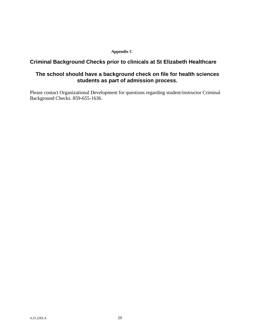#### **Appendix C**

#### **Criminal Background Checks prior to clinicals at St Elizabeth Healthcare**

### **The school should have a background check on file for health sciences students as part of admission process.**

Please contact Organizational Development for questions regarding student/instructor Criminal Background Checks. 859-655-1636.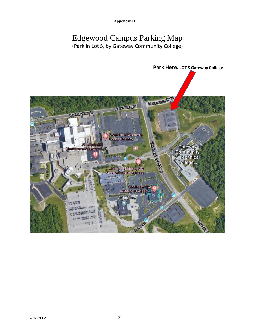**Appendix D**

# Edgewood Campus Parking Map (Park in Lot S, by Gateway Community College)

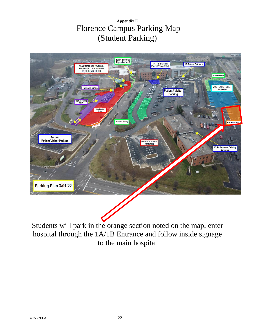# **Appendix E** Florence Campus Parking Map (Student Parking)



Students will park in the orange section noted on the map, enter hospital through the 1A/1B Entrance and follow inside signage to the main hospital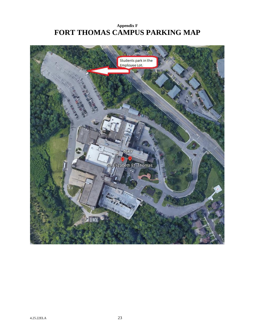# **Appendix F FORT THOMAS CAMPUS PARKING MAP**